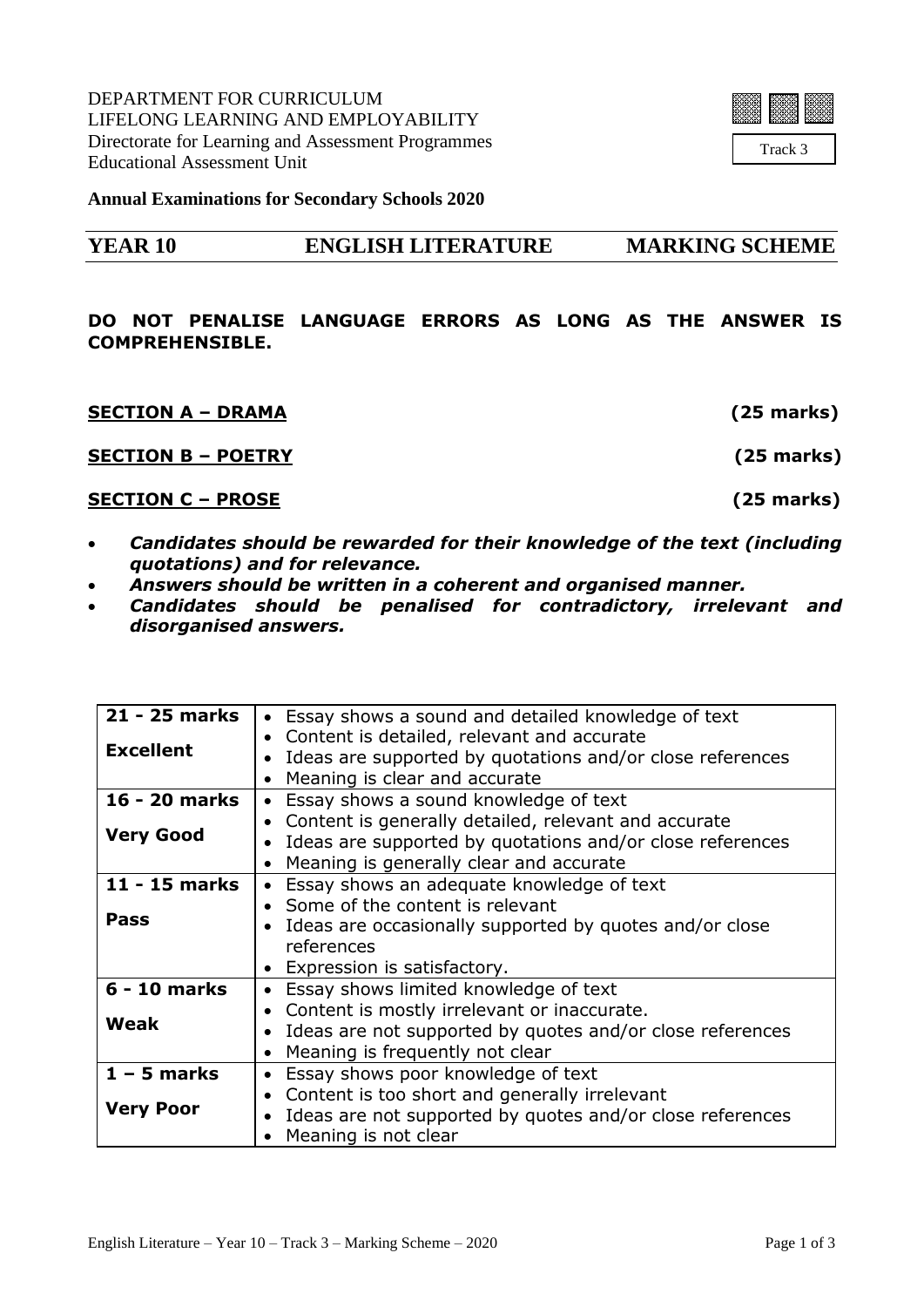DEPARTMENT FOR CURRICULUM LIFELONG LEARNING AND EMPLOYABILITY Directorate for Learning and Assessment Programmes Educational Assessment Unit



**Annual Examinations for Secondary Schools 2020**

## **YEAR 10 ENGLISH LITERATURE MARKING SCHEME**

## **DO NOT PENALISE LANGUAGE ERRORS AS LONG AS THE ANSWER IS COMPREHENSIBLE.**

| <b>SECTION A - DRAMA</b>                                                 | $(25$ marks) |
|--------------------------------------------------------------------------|--------------|
| <b>SECTION B - POETRY</b>                                                | $(25$ marks) |
| <b>SECTION C – PROSE</b>                                                 | (25 marks)   |
| Candidates should be rewarded for their knowledge of the text (including |              |

- *Candidates should be rewarded for their knowledge of the text (including quotations) and for relevance.*
- *Answers should be written in a coherent and organised manner.*
- *Candidates should be penalised for contradictory, irrelevant and disorganised answers.*

| 21 - 25 marks    | Essay shows a sound and detailed knowledge of text        |  |  |
|------------------|-----------------------------------------------------------|--|--|
|                  | • Content is detailed, relevant and accurate              |  |  |
| <b>Excellent</b> | Ideas are supported by quotations and/or close references |  |  |
|                  | Meaning is clear and accurate                             |  |  |
| 16 - 20 marks    | Essay shows a sound knowledge of text<br>$\bullet$        |  |  |
|                  | • Content is generally detailed, relevant and accurate    |  |  |
| <b>Very Good</b> | Ideas are supported by quotations and/or close references |  |  |
|                  | Meaning is generally clear and accurate                   |  |  |
| 11 - 15 marks    | Essay shows an adequate knowledge of text                 |  |  |
|                  | • Some of the content is relevant                         |  |  |
| <b>Pass</b>      | • Ideas are occasionally supported by quotes and/or close |  |  |
|                  | references                                                |  |  |
|                  | • Expression is satisfactory.                             |  |  |
| 6 - 10 marks     | Essay shows limited knowledge of text                     |  |  |
|                  | Content is mostly irrelevant or inaccurate.               |  |  |
| <b>Weak</b>      | Ideas are not supported by quotes and/or close references |  |  |
|                  | • Meaning is frequently not clear                         |  |  |
| $1 - 5$ marks    | Essay shows poor knowledge of text                        |  |  |
|                  | • Content is too short and generally irrelevant           |  |  |
| <b>Very Poor</b> | Ideas are not supported by quotes and/or close references |  |  |
|                  | Meaning is not clear                                      |  |  |
|                  |                                                           |  |  |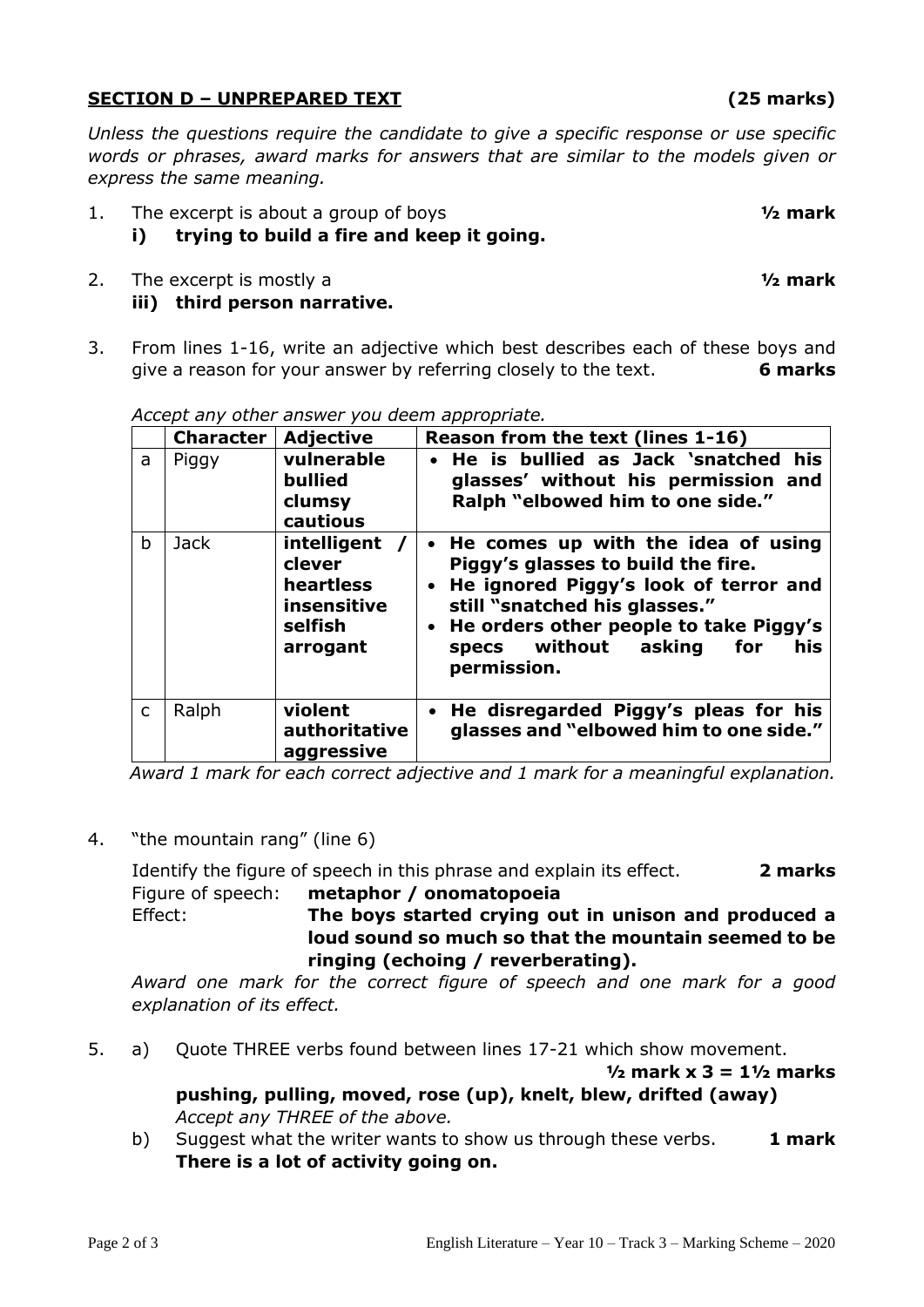## **SECTION D – UNPREPARED TEXT (25 marks)**

*Unless the questions require the candidate to give a specific response or use specific words or phrases, award marks for answers that are similar to the models given or express the same meaning.*

- 1. The excerpt is about a group of boys **½ mark i) trying to build a fire and keep it going.**
- 2. The excerpt is mostly a **½ mark iii) third person narrative.**
- 3. From lines 1-16, write an adjective which best describes each of these boys and give a reason for your answer by referring closely to the text. **6 marks**

|    | <b>Character</b> | Adjective                                                                  | Reason from the text (lines 1-16)                                                                                                                                                                                                                             |  |  |  |
|----|------------------|----------------------------------------------------------------------------|---------------------------------------------------------------------------------------------------------------------------------------------------------------------------------------------------------------------------------------------------------------|--|--|--|
| a. | Piggy            | vulnerable<br>bullied<br>clumsy<br>cautious                                | • He is bullied as Jack 'snatched his<br>glasses' without his permission and<br>Ralph "elbowed him to one side."                                                                                                                                              |  |  |  |
| b  | <b>Jack</b>      | intelligent /<br>clever<br>heartless<br>insensitive<br>selfish<br>arrogant | He comes up with the idea of using<br>$\bullet$<br>Piggy's glasses to build the fire.<br>He ignored Piggy's look of terror and<br>still "snatched his glasses."<br>• He orders other people to take Piggy's<br>his<br>specs without asking for<br>permission. |  |  |  |
| C  | Ralph            | violent<br>authoritative<br>aggressive                                     | • He disregarded Piggy's pleas for his<br>glasses and "elbowed him to one side."                                                                                                                                                                              |  |  |  |

*Accept any other answer you deem appropriate.*

*Award 1 mark for each correct adjective and 1 mark for a meaningful explanation.*

4. "the mountain rang" (line 6)

Identify the figure of speech in this phrase and explain its effect. **2 marks** Figure of speech: **metaphor / onomatopoeia**

Effect: **The boys started crying out in unison and produced a loud sound so much so that the mountain seemed to be ringing (echoing / reverberating).**

*Award one mark for the correct figure of speech and one mark for a good explanation of its effect.*

5. a) Quote THREE verbs found between lines 17-21 which show movement.

**½ mark x 3 = 1½ marks**

**pushing, pulling, moved, rose (up), knelt, blew, drifted (away)** *Accept any THREE of the above.*

b) Suggest what the writer wants to show us through these verbs. **1 mark There is a lot of activity going on.**